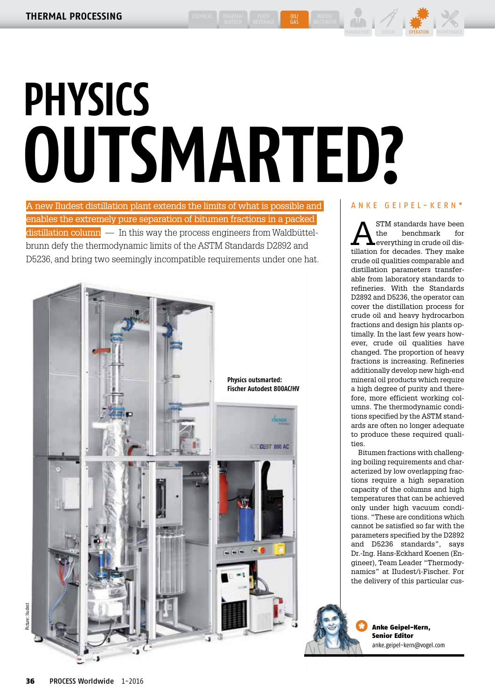GAS

## $\left|\mathbf{w}\right|$  /  $\mathbf{w}$   $\mathbf{w}$ MANAGEMENT DESIGN **OPERATION** MAINTENANCE

# **PHYSICS OUTSMARTED?**

A new Iludest distillation plant extends the limits of what is possible and enables the extremely pure separation of bitumen fractions in a packed  $\alpha$  distillation column  $\alpha$  In this way the process engineers from Waldbüttelbrunn defy the thermodynamic limits of the ASTM Standards D2892 and D5236, and bring two seemingly incompatible requirements under one hat.



## ANKE GEIPEL-KERN\*

**ASTM** standards have been<br>the benchmark for<br>everything in crude oil disthe benchmark for tillation for decades. They make crude oil qualities comparable and distillation parameters transferable from laboratory standards to refineries. With the Standards D2892 and D5236, the operator can cover the distillation process for crude oil and heavy hydrocarbon fractions and design his plants optimally. In the last few years however, crude oil qualities have changed. The proportion of heavy fractions is increasing. Refineries additionally develop new high-end mineral oil products which require a high degree of purity and therefore, more efficient working columns. The thermodynamic conditions specified by the ASTM standards are often no longer adequate to produce these required qualities.

Bitumen fractions with challenging boiling requirements and characterized by low overlapping fractions require a high separation capacity of the columns and high temperatures that can be achieved only under high vacuum conditions. "These are conditions which cannot be satisfied so far with the parameters specified by the D2892 and D5236 standards", says Dr.-Ing. Hans-Eckhard Koenen (Engineer), Team Leader "Thermodynamics" at IIudest/i-Fischer. For the delivery of this particular cus-